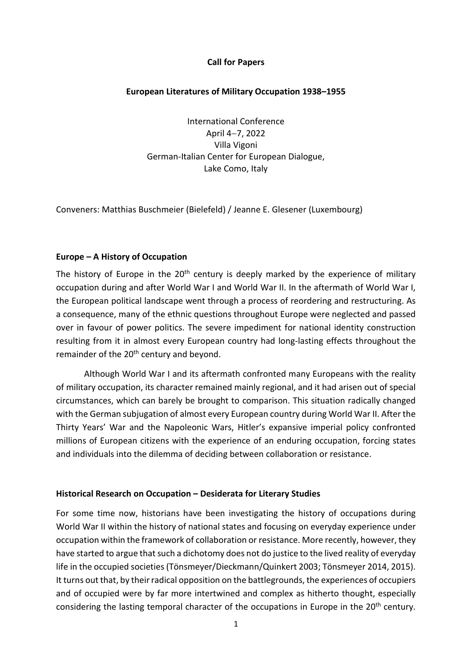### **Call for Papers**

### **European Literatures of Military Occupation 1938–1955**

International Conference April 4−7, 2022 Villa Vigoni German-Italian Center for European Dialogue, Lake Como, Italy

Conveners: Matthias Buschmeier (Bielefeld) / Jeanne E. Glesener (Luxembourg)

#### **Europe – A History of Occupation**

The history of Europe in the  $20<sup>th</sup>$  century is deeply marked by the experience of military occupation during and after World War I and World War II. In the aftermath of World War I, the European political landscape went through a process of reordering and restructuring. As a consequence, many of the ethnic questions throughout Europe were neglected and passed over in favour of power politics. The severe impediment for national identity construction resulting from it in almost every European country had long-lasting effects throughout the remainder of the  $20<sup>th</sup>$  century and beyond.

Although World War I and its aftermath confronted many Europeans with the reality of military occupation, its character remained mainly regional, and it had arisen out of special circumstances, which can barely be brought to comparison. This situation radically changed with the German subjugation of almost every European country during World War II. After the Thirty Years' War and the Napoleonic Wars, Hitler's expansive imperial policy confronted millions of European citizens with the experience of an enduring occupation, forcing states and individuals into the dilemma of deciding between collaboration or resistance.

#### **Historical Research on Occupation – Desiderata for Literary Studies**

For some time now, historians have been investigating the history of occupations during World War II within the history of national states and focusing on everyday experience under occupation within the framework of collaboration or resistance. More recently, however, they have started to argue that such a dichotomy does not do justice to the lived reality of everyday life in the occupied societies (Tönsmeyer/Dieckmann/Quinkert 2003; Tönsmeyer 2014, 2015). It turns out that, by their radical opposition on the battlegrounds, the experiences of occupiers and of occupied were by far more intertwined and complex as hitherto thought, especially considering the lasting temporal character of the occupations in Europe in the 20<sup>th</sup> century.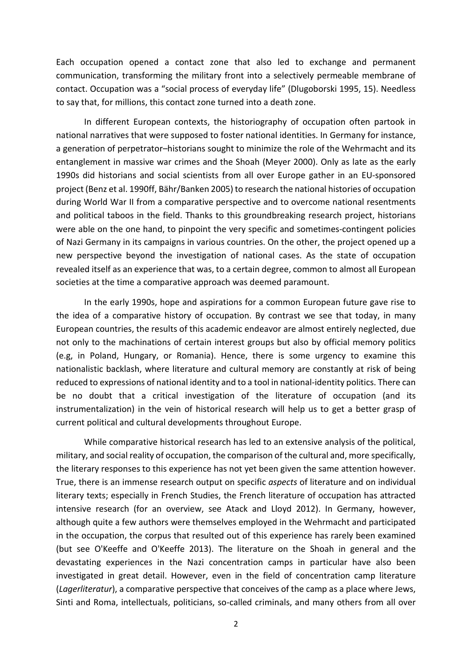Each occupation opened a contact zone that also led to exchange and permanent communication, transforming the military front into a selectively permeable membrane of contact. Occupation was a "social process of everyday life" (Dlugoborski 1995, 15). Needless to say that, for millions, this contact zone turned into a death zone.

In different European contexts, the historiography of occupation often partook in national narratives that were supposed to foster national identities. In Germany for instance, a generation of perpetrator–historians sought to minimize the role of the Wehrmacht and its entanglement in massive war crimes and the Shoah (Meyer 2000). Only as late as the early 1990s did historians and social scientists from all over Europe gather in an EU-sponsored project (Benz et al. 1990ff, Bähr/Banken 2005) to research the national histories of occupation during World War II from a comparative perspective and to overcome national resentments and political taboos in the field. Thanks to this groundbreaking research project, historians were able on the one hand, to pinpoint the very specific and sometimes-contingent policies of Nazi Germany in its campaigns in various countries. On the other, the project opened up a new perspective beyond the investigation of national cases. As the state of occupation revealed itself as an experience that was, to a certain degree, common to almost all European societies at the time a comparative approach was deemed paramount.

In the early 1990s, hope and aspirations for a common European future gave rise to the idea of a comparative history of occupation. By contrast we see that today, in many European countries, the results of this academic endeavor are almost entirely neglected, due not only to the machinations of certain interest groups but also by official memory politics (e.g, in Poland, Hungary, or Romania). Hence, there is some urgency to examine this nationalistic backlash, where literature and cultural memory are constantly at risk of being reduced to expressions of national identity and to a tool in national-identity politics. There can be no doubt that a critical investigation of the literature of occupation (and its instrumentalization) in the vein of historical research will help us to get a better grasp of current political and cultural developments throughout Europe.

While comparative historical research has led to an extensive analysis of the political, military, and social reality of occupation, the comparison of the cultural and, more specifically, the literary responses to this experience has not yet been given the same attention however. True, there is an immense research output on specific *aspects* of literature and on individual literary texts; especially in French Studies, the French literature of occupation has attracted intensive research (for an overview, see Atack and Lloyd 2012). In Germany, however, although quite a few authors were themselves employed in the Wehrmacht and participated in the occupation, the corpus that resulted out of this experience has rarely been examined (but see O'Keeffe and O'Keeffe 2013). The literature on the Shoah in general and the devastating experiences in the Nazi concentration camps in particular have also been investigated in great detail. However, even in the field of concentration camp literature (*Lagerliteratur*), a comparative perspective that conceives of the camp as a place where Jews, Sinti and Roma, intellectuals, politicians, so-called criminals, and many others from all over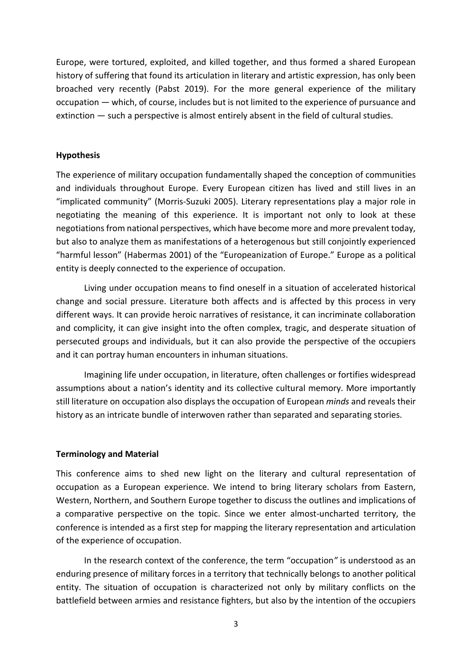Europe, were tortured, exploited, and killed together, and thus formed a shared European history of suffering that found its articulation in literary and artistic expression, has only been broached very recently (Pabst 2019). For the more general experience of the military occupation — which, of course, includes but is not limited to the experience of pursuance and extinction — such a perspective is almost entirely absent in the field of cultural studies.

# **Hypothesis**

The experience of military occupation fundamentally shaped the conception of communities and individuals throughout Europe. Every European citizen has lived and still lives in an "implicated community" (Morris-Suzuki 2005). Literary representations play a major role in negotiating the meaning of this experience. It is important not only to look at these negotiations from national perspectives, which have become more and more prevalent today, but also to analyze them as manifestations of a heterogenous but still conjointly experienced "harmful lesson" (Habermas 2001) of the "Europeanization of Europe." Europe as a political entity is deeply connected to the experience of occupation.

Living under occupation means to find oneself in a situation of accelerated historical change and social pressure. Literature both affects and is affected by this process in very different ways. It can provide heroic narratives of resistance, it can incriminate collaboration and complicity, it can give insight into the often complex, tragic, and desperate situation of persecuted groups and individuals, but it can also provide the perspective of the occupiers and it can portray human encounters in inhuman situations.

Imagining life under occupation, in literature, often challenges or fortifies widespread assumptions about a nation's identity and its collective cultural memory. More importantly still literature on occupation also displays the occupation of European *minds* and reveals their history as an intricate bundle of interwoven rather than separated and separating stories.

## **Terminology and Material**

This conference aims to shed new light on the literary and cultural representation of occupation as a European experience. We intend to bring literary scholars from Eastern, Western, Northern, and Southern Europe together to discuss the outlines and implications of a comparative perspective on the topic. Since we enter almost-uncharted territory, the conference is intended as a first step for mapping the literary representation and articulation of the experience of occupation.

In the research context of the conference, the term "occupation*"* is understood as an enduring presence of military forces in a territory that technically belongs to another political entity. The situation of occupation is characterized not only by military conflicts on the battlefield between armies and resistance fighters, but also by the intention of the occupiers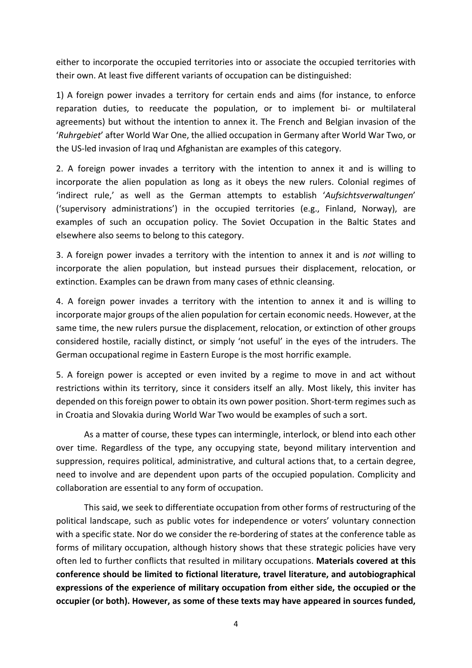either to incorporate the occupied territories into or associate the occupied territories with their own. At least five different variants of occupation can be distinguished:

1) A foreign power invades a territory for certain ends and aims (for instance, to enforce reparation duties, to reeducate the population, or to implement bi- or multilateral agreements) but without the intention to annex it. The French and Belgian invasion of the '*Ruhrgebiet*' after World War One, the allied occupation in Germany after World War Two, or the US-led invasion of Iraq und Afghanistan are examples of this category.

2. A foreign power invades a territory with the intention to annex it and is willing to incorporate the alien population as long as it obeys the new rulers. Colonial regimes of 'indirect rule,' as well as the German attempts to establish '*Aufsichtsverwaltungen*' ('supervisory administrations') in the occupied territories (e.g., Finland, Norway), are examples of such an occupation policy. The Soviet Occupation in the Baltic States and elsewhere also seems to belong to this category.

3. A foreign power invades a territory with the intention to annex it and is *not* willing to incorporate the alien population, but instead pursues their displacement, relocation, or extinction. Examples can be drawn from many cases of ethnic cleansing.

4. A foreign power invades a territory with the intention to annex it and is willing to incorporate major groups of the alien population for certain economic needs. However, at the same time, the new rulers pursue the displacement, relocation, or extinction of other groups considered hostile, racially distinct, or simply 'not useful' in the eyes of the intruders. The German occupational regime in Eastern Europe is the most horrific example.

5. A foreign power is accepted or even invited by a regime to move in and act without restrictions within its territory, since it considers itself an ally. Most likely, this inviter has depended on this foreign power to obtain its own power position. Short-term regimes such as in Croatia and Slovakia during World War Two would be examples of such a sort.

As a matter of course, these types can intermingle, interlock, or blend into each other over time. Regardless of the type, any occupying state, beyond military intervention and suppression, requires political, administrative, and cultural actions that, to a certain degree, need to involve and are dependent upon parts of the occupied population. Complicity and collaboration are essential to any form of occupation.

This said, we seek to differentiate occupation from other forms of restructuring of the political landscape, such as public votes for independence or voters' voluntary connection with a specific state. Nor do we consider the re-bordering of states at the conference table as forms of military occupation, although history shows that these strategic policies have very often led to further conflicts that resulted in military occupations. **Materials covered at this conference should be limited to fictional literature, travel literature, and autobiographical expressions of the experience of military occupation from either side, the occupied or the occupier (or both). However, as some of these texts may have appeared in sources funded,**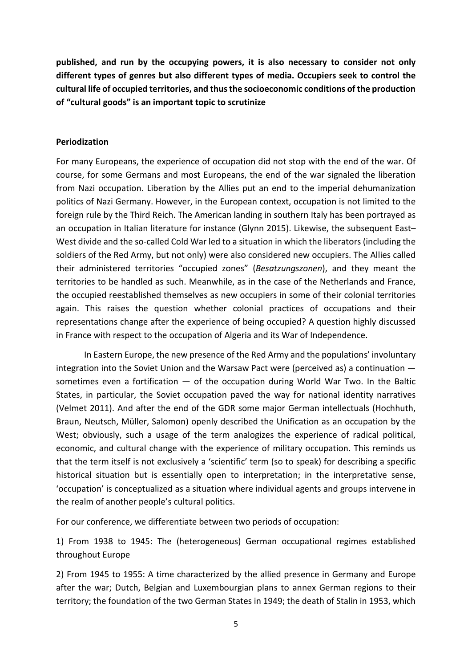**published, and run by the occupying powers, it is also necessary to consider not only different types of genres but also different types of media. Occupiers seek to control the cultural life of occupied territories, and thus the socioeconomic conditions of the production of "cultural goods" is an important topic to scrutinize**

## **Periodization**

For many Europeans, the experience of occupation did not stop with the end of the war. Of course, for some Germans and most Europeans, the end of the war signaled the liberation from Nazi occupation. Liberation by the Allies put an end to the imperial dehumanization politics of Nazi Germany. However, in the European context, occupation is not limited to the foreign rule by the Third Reich. The American landing in southern Italy has been portrayed as an occupation in Italian literature for instance (Glynn 2015). Likewise, the subsequent East– West divide and the so-called Cold War led to a situation in which the liberators (including the soldiers of the Red Army, but not only) were also considered new occupiers. The Allies called their administered territories "occupied zones" (*Besatzungszonen*), and they meant the territories to be handled as such. Meanwhile, as in the case of the Netherlands and France, the occupied reestablished themselves as new occupiers in some of their colonial territories again. This raises the question whether colonial practices of occupations and their representations change after the experience of being occupied? A question highly discussed in France with respect to the occupation of Algeria and its War of Independence.

In Eastern Europe, the new presence of the Red Army and the populations' involuntary integration into the Soviet Union and the Warsaw Pact were (perceived as) a continuation sometimes even a fortification  $-$  of the occupation during World War Two. In the Baltic States, in particular, the Soviet occupation paved the way for national identity narratives (Velmet 2011). And after the end of the GDR some major German intellectuals (Hochhuth, Braun, Neutsch, Müller, Salomon) openly described the Unification as an occupation by the West; obviously, such a usage of the term analogizes the experience of radical political, economic, and cultural change with the experience of military occupation. This reminds us that the term itself is not exclusively a 'scientific' term (so to speak) for describing a specific historical situation but is essentially open to interpretation; in the interpretative sense, 'occupation' is conceptualized as a situation where individual agents and groups intervene in the realm of another people's cultural politics.

For our conference, we differentiate between two periods of occupation:

1) From 1938 to 1945: The (heterogeneous) German occupational regimes established throughout Europe

2) From 1945 to 1955: A time characterized by the allied presence in Germany and Europe after the war; Dutch, Belgian and Luxembourgian plans to annex German regions to their territory; the foundation of the two German States in 1949; the death of Stalin in 1953, which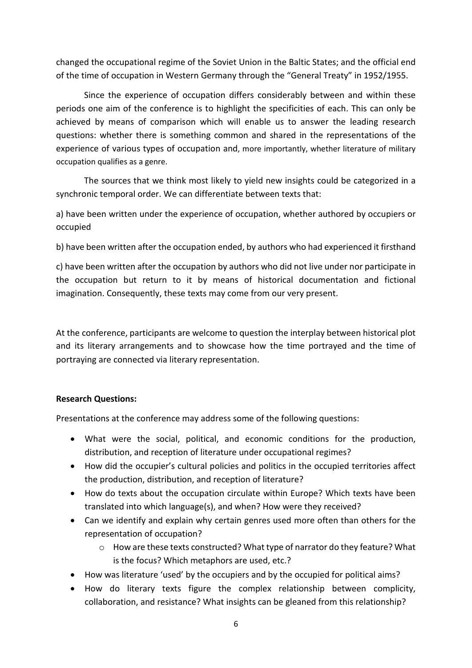changed the occupational regime of the Soviet Union in the Baltic States; and the official end of the time of occupation in Western Germany through the "General Treaty" in 1952/1955.

Since the experience of occupation differs considerably between and within these periods one aim of the conference is to highlight the specificities of each. This can only be achieved by means of comparison which will enable us to answer the leading research questions: whether there is something common and shared in the representations of the experience of various types of occupation and, more importantly, whether literature of military occupation qualifies as a genre.

The sources that we think most likely to yield new insights could be categorized in a synchronic temporal order. We can differentiate between texts that:

a) have been written under the experience of occupation, whether authored by occupiers or occupied

b) have been written after the occupation ended, by authors who had experienced it firsthand

c) have been written after the occupation by authors who did not live under nor participate in the occupation but return to it by means of historical documentation and fictional imagination. Consequently, these texts may come from our very present.

At the conference, participants are welcome to question the interplay between historical plot and its literary arrangements and to showcase how the time portrayed and the time of portraying are connected via literary representation.

# **Research Questions:**

Presentations at the conference may address some of the following questions:

- What were the social, political, and economic conditions for the production, distribution, and reception of literature under occupational regimes?
- How did the occupier's cultural policies and politics in the occupied territories affect the production, distribution, and reception of literature?
- How do texts about the occupation circulate within Europe? Which texts have been translated into which language(s), and when? How were they received?
- Can we identify and explain why certain genres used more often than others for the representation of occupation?
	- $\circ$  How are these texts constructed? What type of narrator do they feature? What is the focus? Which metaphors are used, etc.?
- How was literature 'used' by the occupiers and by the occupied for political aims?
- How do literary texts figure the complex relationship between complicity, collaboration, and resistance? What insights can be gleaned from this relationship?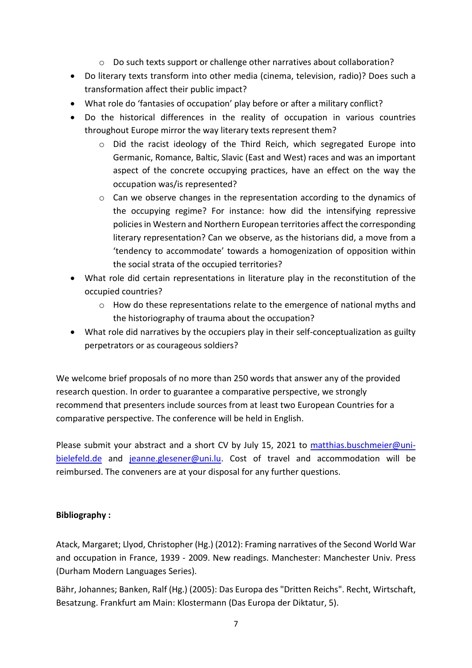- o Do such texts support or challenge other narratives about collaboration?
- Do literary texts transform into other media (cinema, television, radio)? Does such a transformation affect their public impact?
- What role do 'fantasies of occupation' play before or after a military conflict?
- Do the historical differences in the reality of occupation in various countries throughout Europe mirror the way literary texts represent them?
	- $\circ$  Did the racist ideology of the Third Reich, which segregated Europe into Germanic, Romance, Baltic, Slavic (East and West) races and was an important aspect of the concrete occupying practices, have an effect on the way the occupation was/is represented?
	- $\circ$  Can we observe changes in the representation according to the dynamics of the occupying regime? For instance: how did the intensifying repressive policies in Western and Northern European territories affect the corresponding literary representation? Can we observe, as the historians did, a move from a 'tendency to accommodate' towards a homogenization of opposition within the social strata of the occupied territories?
- What role did certain representations in literature play in the reconstitution of the occupied countries?
	- o How do these representations relate to the emergence of national myths and the historiography of trauma about the occupation?
- What role did narratives by the occupiers play in their self-conceptualization as guilty perpetrators or as courageous soldiers?

We welcome brief proposals of no more than 250 words that answer any of the provided research question. In order to guarantee a comparative perspective, we strongly recommend that presenters include sources from at least two European Countries for a comparative perspective. The conference will be held in English.

Please submit your abstract and a short CV by July 15, 2021 to [matthias.buschmeier@uni](mailto:matthias.buschmeier@uni-bielefeld.de)[bielefeld.de](mailto:matthias.buschmeier@uni-bielefeld.de) and [jeanne.glesener@uni.lu.](mailto:jeanne.glesener@uni.lu) Cost of travel and accommodation will be reimbursed. The conveners are at your disposal for any further questions.

# **Bibliography :**

Atack, Margaret; Llyod, Christopher (Hg.) (2012): Framing narratives of the Second World War and occupation in France, 1939 - 2009. New readings. Manchester: Manchester Univ. Press (Durham Modern Languages Series).

Bähr, Johannes; Banken, Ralf (Hg.) (2005): Das Europa des "Dritten Reichs". Recht, Wirtschaft, Besatzung. Frankfurt am Main: Klostermann (Das Europa der Diktatur, 5).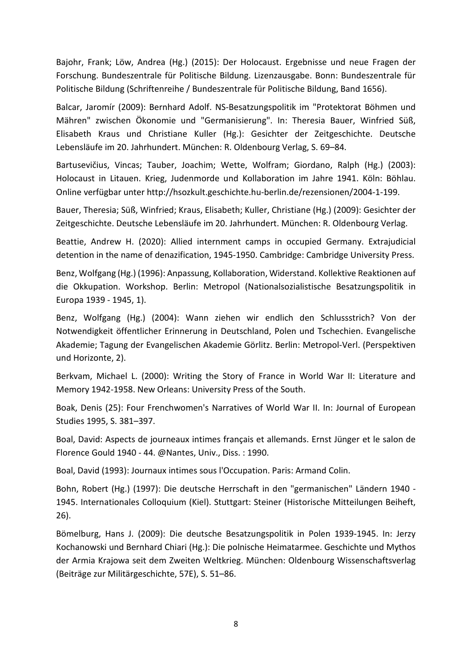Bajohr, Frank; Löw, Andrea (Hg.) (2015): Der Holocaust. Ergebnisse und neue Fragen der Forschung. Bundeszentrale für Politische Bildung. Lizenzausgabe. Bonn: Bundeszentrale für Politische Bildung (Schriftenreihe / Bundeszentrale für Politische Bildung, Band 1656).

Balcar, Jaromír (2009): Bernhard Adolf. NS-Besatzungspolitik im "Protektorat Böhmen und Mähren" zwischen Ökonomie und "Germanisierung". In: Theresia Bauer, Winfried Süß, Elisabeth Kraus und Christiane Kuller (Hg.): Gesichter der Zeitgeschichte. Deutsche Lebensläufe im 20. Jahrhundert. München: R. Oldenbourg Verlag, S. 69–84.

Bartusevičius, Vincas; Tauber, Joachim; Wette, Wolfram; Giordano, Ralph (Hg.) (2003): Holocaust in Litauen. Krieg, Judenmorde und Kollaboration im Jahre 1941. Köln: Böhlau. Online verfügbar unter http://hsozkult.geschichte.hu-berlin.de/rezensionen/2004-1-199.

Bauer, Theresia; Süß, Winfried; Kraus, Elisabeth; Kuller, Christiane (Hg.) (2009): Gesichter der Zeitgeschichte. Deutsche Lebensläufe im 20. Jahrhundert. München: R. Oldenbourg Verlag.

Beattie, Andrew H. (2020): Allied internment camps in occupied Germany. Extrajudicial detention in the name of denazification, 1945-1950. Cambridge: Cambridge University Press.

Benz, Wolfgang (Hg.) (1996): Anpassung, Kollaboration, Widerstand. Kollektive Reaktionen auf die Okkupation. Workshop. Berlin: Metropol (Nationalsozialistische Besatzungspolitik in Europa 1939 - 1945, 1).

Benz, Wolfgang (Hg.) (2004): Wann ziehen wir endlich den Schlussstrich? Von der Notwendigkeit öffentlicher Erinnerung in Deutschland, Polen und Tschechien. Evangelische Akademie; Tagung der Evangelischen Akademie Görlitz. Berlin: Metropol-Verl. (Perspektiven und Horizonte, 2).

Berkvam, Michael L. (2000): Writing the Story of France in World War II: Literature and Memory 1942-1958. New Orleans: University Press of the South.

Boak, Denis (25): Four Frenchwomen's Narratives of World War II. In: Journal of European Studies 1995, S. 381–397.

Boal, David: Aspects de journeaux intimes français et allemands. Ernst Jünger et le salon de Florence Gould 1940 - 44. @Nantes, Univ., Diss. : 1990.

Boal, David (1993): Journaux intimes sous l'Occupation. Paris: Armand Colin.

Bohn, Robert (Hg.) (1997): Die deutsche Herrschaft in den "germanischen" Ländern 1940 - 1945. Internationales Colloquium (Kiel). Stuttgart: Steiner (Historische Mitteilungen Beiheft, 26).

Bömelburg, Hans J. (2009): Die deutsche Besatzungspolitik in Polen 1939-1945. In: Jerzy Kochanowski und Bernhard Chiari (Hg.): Die polnische Heimatarmee. Geschichte und Mythos der Armia Krajowa seit dem Zweiten Weltkrieg. München: Oldenbourg Wissenschaftsverlag (Beiträge zur Militärgeschichte, 57E), S. 51–86.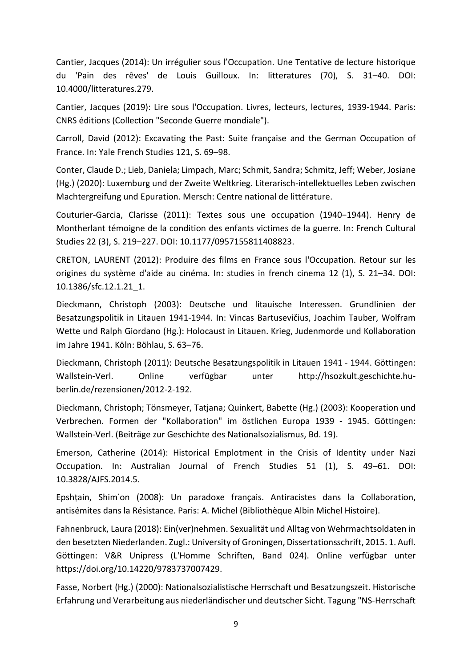Cantier, Jacques (2014): Un irrégulier sous l'Occupation. Une Tentative de lecture historique du 'Pain des rêves' de Louis Guilloux. In: litteratures (70), S. 31–40. DOI: 10.4000/litteratures.279.

Cantier, Jacques (2019): Lire sous l'Occupation. Livres, lecteurs, lectures, 1939-1944. Paris: CNRS éditions (Collection "Seconde Guerre mondiale").

Carroll, David (2012): Excavating the Past: Suite française and the German Occupation of France. In: Yale French Studies 121, S. 69–98.

Conter, Claude D.; Lieb, Daniela; Limpach, Marc; Schmit, Sandra; Schmitz, Jeff; Weber, Josiane (Hg.) (2020): Luxemburg und der Zweite Weltkrieg. Literarisch-intellektuelles Leben zwischen Machtergreifung und Epuration. Mersch: Centre national de littérature.

Couturier-Garcia, Clarisse (2011): Textes sous une occupation (1940−1944). Henry de Montherlant témoigne de la condition des enfants victimes de la guerre. In: French Cultural Studies 22 (3), S. 219–227. DOI: 10.1177/0957155811408823.

CRETON, LAURENT (2012): Produire des films en France sous l'Occupation. Retour sur les origines du système d'aide au cinéma. In: studies in french cinema 12 (1), S. 21–34. DOI: 10.1386/sfc.12.1.21\_1.

Dieckmann, Christoph (2003): Deutsche und litauische Interessen. Grundlinien der Besatzungspolitik in Litauen 1941-1944. In: Vincas Bartusevičius, Joachim Tauber, Wolfram Wette und Ralph Giordano (Hg.): Holocaust in Litauen. Krieg, Judenmorde und Kollaboration im Jahre 1941. Köln: Böhlau, S. 63–76.

Dieckmann, Christoph (2011): Deutsche Besatzungspolitik in Litauen 1941 - 1944. Göttingen: Wallstein-Verl. Online verfügbar unter http://hsozkult.geschichte.huberlin.de/rezensionen/2012-2-192.

Dieckmann, Christoph; Tönsmeyer, Tatjana; Quinkert, Babette (Hg.) (2003): Kooperation und Verbrechen. Formen der "Kollaboration" im östlichen Europa 1939 - 1945. Göttingen: Wallstein-Verl. (Beiträge zur Geschichte des Nationalsozialismus, Bd. 19).

Emerson, Catherine (2014): Historical Emplotment in the Crisis of Identity under Nazi Occupation. In: Australian Journal of French Studies 51 (1), S. 49–61. DOI: 10.3828/AJFS.2014.5.

Epshṭain, Shimʿon (2008): Un paradoxe français. Antiracistes dans la Collaboration, antisémites dans la Résistance. Paris: A. Michel (Bibliothèque Albin Michel Histoire).

Fahnenbruck, Laura (2018): Ein(ver)nehmen. Sexualität und Alltag von Wehrmachtsoldaten in den besetzten Niederlanden. Zugl.: University of Groningen, Dissertationsschrift, 2015. 1. Aufl. Göttingen: V&R Unipress (L'Homme Schriften, Band 024). Online verfügbar unter https://doi.org/10.14220/9783737007429.

Fasse, Norbert (Hg.) (2000): Nationalsozialistische Herrschaft und Besatzungszeit. Historische Erfahrung und Verarbeitung aus niederländischer und deutscher Sicht. Tagung "NS-Herrschaft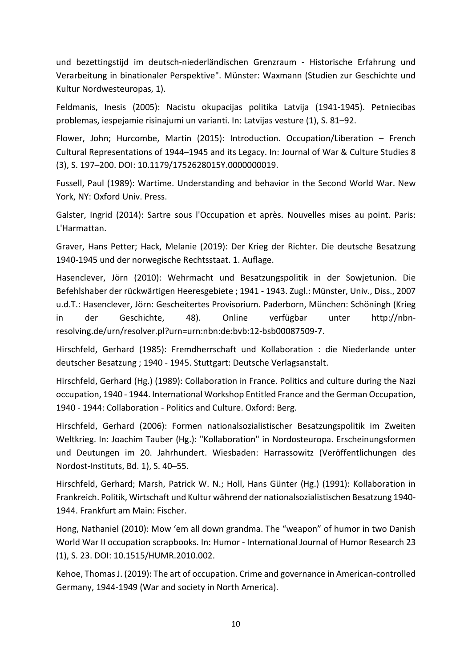und bezettingstijd im deutsch-niederländischen Grenzraum - Historische Erfahrung und Verarbeitung in binationaler Perspektive". Münster: Waxmann (Studien zur Geschichte und Kultur Nordwesteuropas, 1).

Feldmanis, Inesis (2005): Nacistu okupacijas politika Latvija (1941-1945). Petniecibas problemas, iespejamie risinajumi un varianti. In: Latvijas vesture (1), S. 81–92.

Flower, John; Hurcombe, Martin (2015): Introduction. Occupation/Liberation – French Cultural Representations of 1944–1945 and its Legacy. In: Journal of War & Culture Studies 8 (3), S. 197–200. DOI: 10.1179/1752628015Y.0000000019.

Fussell, Paul (1989): Wartime. Understanding and behavior in the Second World War. New York, NY: Oxford Univ. Press.

Galster, Ingrid (2014): Sartre sous l'Occupation et après. Nouvelles mises au point. Paris: L'Harmattan.

Graver, Hans Petter; Hack, Melanie (2019): Der Krieg der Richter. Die deutsche Besatzung 1940-1945 und der norwegische Rechtsstaat. 1. Auflage.

Hasenclever, Jörn (2010): Wehrmacht und Besatzungspolitik in der Sowjetunion. Die Befehlshaber der rückwärtigen Heeresgebiete ; 1941 - 1943. Zugl.: Münster, Univ., Diss., 2007 u.d.T.: Hasenclever, Jörn: Gescheitertes Provisorium. Paderborn, München: Schöningh (Krieg in der Geschichte, 48). Online verfügbar unter http://nbnresolving.de/urn/resolver.pl?urn=urn:nbn:de:bvb:12-bsb00087509-7.

Hirschfeld, Gerhard (1985): Fremdherrschaft und Kollaboration : die Niederlande unter deutscher Besatzung ; 1940 - 1945. Stuttgart: Deutsche Verlagsanstalt.

Hirschfeld, Gerhard (Hg.) (1989): Collaboration in France. Politics and culture during the Nazi occupation, 1940 - 1944. International Workshop Entitled France and the German Occupation, 1940 - 1944: Collaboration - Politics and Culture. Oxford: Berg.

Hirschfeld, Gerhard (2006): Formen nationalsozialistischer Besatzungspolitik im Zweiten Weltkrieg. In: Joachim Tauber (Hg.): "Kollaboration" in Nordosteuropa. Erscheinungsformen und Deutungen im 20. Jahrhundert. Wiesbaden: Harrassowitz (Veröffentlichungen des Nordost-Instituts, Bd. 1), S. 40–55.

Hirschfeld, Gerhard; Marsh, Patrick W. N.; Holl, Hans Günter (Hg.) (1991): Kollaboration in Frankreich. Politik, Wirtschaft und Kultur während der nationalsozialistischen Besatzung 1940- 1944. Frankfurt am Main: Fischer.

Hong, Nathaniel (2010): Mow 'em all down grandma. The "weapon" of humor in two Danish World War II occupation scrapbooks. In: Humor - International Journal of Humor Research 23 (1), S. 23. DOI: 10.1515/HUMR.2010.002.

Kehoe, Thomas J. (2019): The art of occupation. Crime and governance in American-controlled Germany, 1944-1949 (War and society in North America).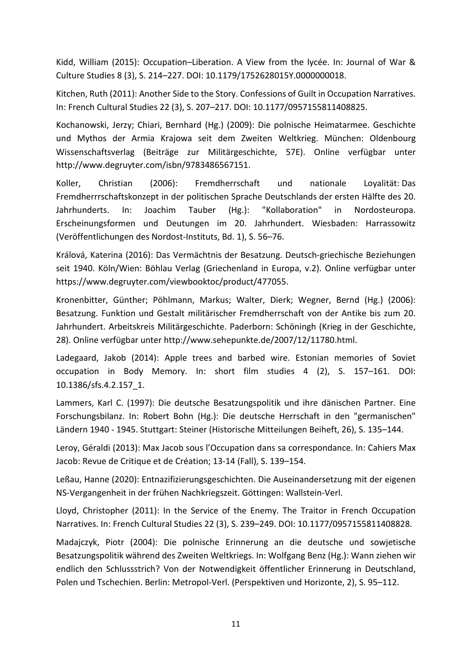Kidd, William (2015): Occupation–Liberation. A View from the lycée. In: Journal of War & Culture Studies 8 (3), S. 214–227. DOI: 10.1179/1752628015Y.0000000018.

Kitchen, Ruth (2011): Another Side to the Story. Confessions of Guilt in Occupation Narratives. In: French Cultural Studies 22 (3), S. 207–217. DOI: 10.1177/0957155811408825.

Kochanowski, Jerzy; Chiari, Bernhard (Hg.) (2009): Die polnische Heimatarmee. Geschichte und Mythos der Armia Krajowa seit dem Zweiten Weltkrieg. München: Oldenbourg Wissenschaftsverlag (Beiträge zur Militärgeschichte, 57E). Online verfügbar unter http://www.degruyter.com/isbn/9783486567151.

Koller, Christian (2006): Fremdherrschaft und nationale Loyalität: Das Fremdherrrschaftskonzept in der politischen Sprache Deutschlands der ersten Hälfte des 20. Jahrhunderts. In: Joachim Tauber (Hg.): "Kollaboration" in Nordosteuropa. Erscheinungsformen und Deutungen im 20. Jahrhundert. Wiesbaden: Harrassowitz (Veröffentlichungen des Nordost-Instituts, Bd. 1), S. 56–76.

Králová, Katerina (2016): Das Vermächtnis der Besatzung. Deutsch-griechische Beziehungen seit 1940. Köln/Wien: Böhlau Verlag (Griechenland in Europa, v.2). Online verfügbar unter https://www.degruyter.com/viewbooktoc/product/477055.

Kronenbitter, Günther; Pöhlmann, Markus; Walter, Dierk; Wegner, Bernd (Hg.) (2006): Besatzung. Funktion und Gestalt militärischer Fremdherrschaft von der Antike bis zum 20. Jahrhundert. Arbeitskreis Militärgeschichte. Paderborn: Schöningh (Krieg in der Geschichte, 28). Online verfügbar unter http://www.sehepunkte.de/2007/12/11780.html.

Ladegaard, Jakob (2014): Apple trees and barbed wire. Estonian memories of Soviet occupation in Body Memory. In: short film studies 4 (2), S. 157–161. DOI: 10.1386/sfs.4.2.157\_1.

Lammers, Karl C. (1997): Die deutsche Besatzungspolitik und ihre dänischen Partner. Eine Forschungsbilanz. In: Robert Bohn (Hg.): Die deutsche Herrschaft in den "germanischen" Ländern 1940 - 1945. Stuttgart: Steiner (Historische Mitteilungen Beiheft, 26), S. 135–144.

Leroy, Géraldi (2013): Max Jacob sous l'Occupation dans sa correspondance. In: Cahiers Max Jacob: Revue de Critique et de Création; 13-14 (Fall), S. 139–154.

Leßau, Hanne (2020): Entnazifizierungsgeschichten. Die Auseinandersetzung mit der eigenen NS-Vergangenheit in der frühen Nachkriegszeit. Göttingen: Wallstein-Verl.

Lloyd, Christopher (2011): In the Service of the Enemy. The Traitor in French Occupation Narratives. In: French Cultural Studies 22 (3), S. 239–249. DOI: 10.1177/0957155811408828.

Madajczyk, Piotr (2004): Die polnische Erinnerung an die deutsche und sowjetische Besatzungspolitik während des Zweiten Weltkriegs. In: Wolfgang Benz (Hg.): Wann ziehen wir endlich den Schlussstrich? Von der Notwendigkeit öffentlicher Erinnerung in Deutschland, Polen und Tschechien. Berlin: Metropol-Verl. (Perspektiven und Horizonte, 2), S. 95–112.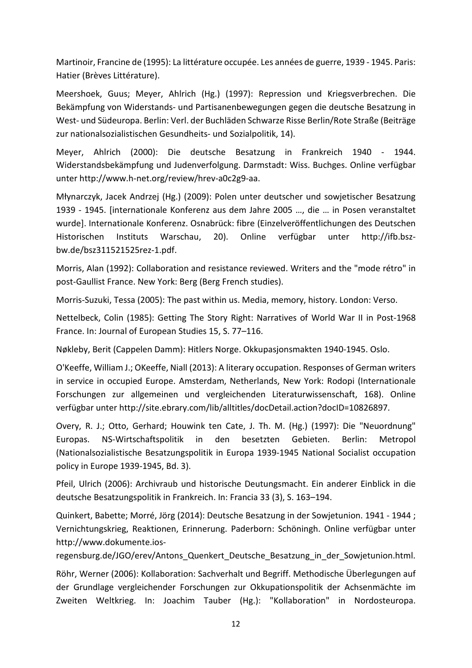Martinoir, Francine de (1995): La littérature occupée. Les années de guerre, 1939 - 1945. Paris: Hatier (Brèves Littérature).

Meershoek, Guus; Meyer, Ahlrich (Hg.) (1997): Repression und Kriegsverbrechen. Die Bekämpfung von Widerstands- und Partisanenbewegungen gegen die deutsche Besatzung in West- und Südeuropa. Berlin: Verl. der Buchläden Schwarze Risse Berlin/Rote Straße (Beiträge zur nationalsozialistischen Gesundheits- und Sozialpolitik, 14).

Meyer, Ahlrich (2000): Die deutsche Besatzung in Frankreich 1940 - 1944. Widerstandsbekämpfung und Judenverfolgung. Darmstadt: Wiss. Buchges. Online verfügbar unter http://www.h-net.org/review/hrev-a0c2g9-aa.

Młynarczyk, Jacek Andrzej (Hg.) (2009): Polen unter deutscher und sowjetischer Besatzung 1939 - 1945. [internationale Konferenz aus dem Jahre 2005 …, die … in Posen veranstaltet wurde]. Internationale Konferenz. Osnabrück: fibre (Einzelveröffentlichungen des Deutschen Historischen Instituts Warschau, 20). Online verfügbar unter http://ifb.bszbw.de/bsz311521525rez-1.pdf.

Morris, Alan (1992): Collaboration and resistance reviewed. Writers and the "mode rétro" in post-Gaullist France. New York: Berg (Berg French studies).

Morris-Suzuki, Tessa (2005): The past within us. Media, memory, history. London: Verso.

Nettelbeck, Colin (1985): Getting The Story Right: Narratives of World War II in Post-1968 France. In: Journal of European Studies 15, S. 77–116.

Nøkleby, Berit (Cappelen Damm): Hitlers Norge. Okkupasjonsmakten 1940-1945. Oslo.

O'Keeffe, William J.; OKeeffe, Niall (2013): A literary occupation. Responses of German writers in service in occupied Europe. Amsterdam, Netherlands, New York: Rodopi (Internationale Forschungen zur allgemeinen und vergleichenden Literaturwissenschaft, 168). Online verfügbar unter http://site.ebrary.com/lib/alltitles/docDetail.action?docID=10826897.

Overy, R. J.; Otto, Gerhard; Houwink ten Cate, J. Th. M. (Hg.) (1997): Die "Neuordnung" Europas. NS-Wirtschaftspolitik in den besetzten Gebieten. Berlin: Metropol (Nationalsozialistische Besatzungspolitik in Europa 1939-1945 National Socialist occupation policy in Europe 1939-1945, Bd. 3).

Pfeil, Ulrich (2006): Archivraub und historische Deutungsmacht. Ein anderer Einblick in die deutsche Besatzungspolitik in Frankreich. In: Francia 33 (3), S. 163–194.

Quinkert, Babette; Morré, Jörg (2014): Deutsche Besatzung in der Sowjetunion. 1941 - 1944 ; Vernichtungskrieg, Reaktionen, Erinnerung. Paderborn: Schöningh. Online verfügbar unter http://www.dokumente.ios-

regensburg.de/JGO/erev/Antons\_Quenkert\_Deutsche\_Besatzung\_in\_der\_Sowjetunion.html.

Röhr, Werner (2006): Kollaboration: Sachverhalt und Begriff. Methodische Überlegungen auf der Grundlage vergleichender Forschungen zur Okkupationspolitik der Achsenmächte im Zweiten Weltkrieg. In: Joachim Tauber (Hg.): "Kollaboration" in Nordosteuropa.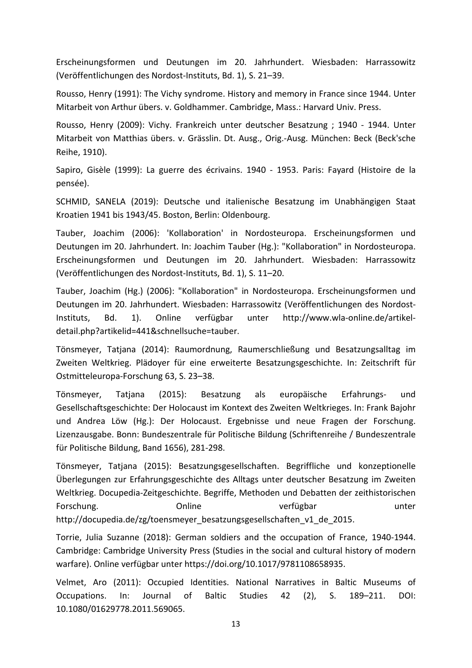Erscheinungsformen und Deutungen im 20. Jahrhundert. Wiesbaden: Harrassowitz (Veröffentlichungen des Nordost-Instituts, Bd. 1), S. 21–39.

Rousso, Henry (1991): The Vichy syndrome. History and memory in France since 1944. Unter Mitarbeit von Arthur übers. v. Goldhammer. Cambridge, Mass.: Harvard Univ. Press.

Rousso, Henry (2009): Vichy. Frankreich unter deutscher Besatzung ; 1940 - 1944. Unter Mitarbeit von Matthias übers. v. Grässlin. Dt. Ausg., Orig.-Ausg. München: Beck (Beck'sche Reihe, 1910).

Sapiro, Gisèle (1999): La guerre des écrivains. 1940 - 1953. Paris: Fayard (Histoire de la pensée).

SCHMID, SANELA (2019): Deutsche und italienische Besatzung im Unabhängigen Staat Kroatien 1941 bis 1943/45. Boston, Berlin: Oldenbourg.

Tauber, Joachim (2006): 'Kollaboration' in Nordosteuropa. Erscheinungsformen und Deutungen im 20. Jahrhundert. In: Joachim Tauber (Hg.): "Kollaboration" in Nordosteuropa. Erscheinungsformen und Deutungen im 20. Jahrhundert. Wiesbaden: Harrassowitz (Veröffentlichungen des Nordost-Instituts, Bd. 1), S. 11–20.

Tauber, Joachim (Hg.) (2006): "Kollaboration" in Nordosteuropa. Erscheinungsformen und Deutungen im 20. Jahrhundert. Wiesbaden: Harrassowitz (Veröffentlichungen des Nordost-Instituts, Bd. 1). Online verfügbar unter http://www.wla-online.de/artikeldetail.php?artikelid=441&schnellsuche=tauber.

Tönsmeyer, Tatjana (2014): Raumordnung, Raumerschließung und Besatzungsalltag im Zweiten Weltkrieg. Plädoyer für eine erweiterte Besatzungsgeschichte. In: Zeitschrift für Ostmitteleuropa-Forschung 63, S. 23–38.

Tönsmeyer, Tatjana (2015): Besatzung als europäische Erfahrungs- und Gesellschaftsgeschichte: Der Holocaust im Kontext des Zweiten Weltkrieges. In: Frank Bajohr und Andrea Löw (Hg.): Der Holocaust. Ergebnisse und neue Fragen der Forschung. Lizenzausgabe. Bonn: Bundeszentrale für Politische Bildung (Schriftenreihe / Bundeszentrale für Politische Bildung, Band 1656), 281-298.

Tönsmeyer, Tatjana (2015): Besatzungsgesellschaften. Begriffliche und konzeptionelle Überlegungen zur Erfahrungsgeschichte des Alltags unter deutscher Besatzung im Zweiten Weltkrieg. Docupedia-Zeitgeschichte. Begriffe, Methoden und Debatten der zeithistorischen Forschung. The Conline verfügbar unter http://docupedia.de/zg/toensmeyer\_besatzungsgesellschaften\_v1\_de\_2015.

Torrie, Julia Suzanne (2018): German soldiers and the occupation of France, 1940-1944. Cambridge: Cambridge University Press (Studies in the social and cultural history of modern warfare). Online verfügbar unter https://doi.org/10.1017/9781108658935.

Velmet, Aro (2011): Occupied Identities. National Narratives in Baltic Museums of Occupations. In: Journal of Baltic Studies 42 (2), S. 189–211. DOI: 10.1080/01629778.2011.569065.